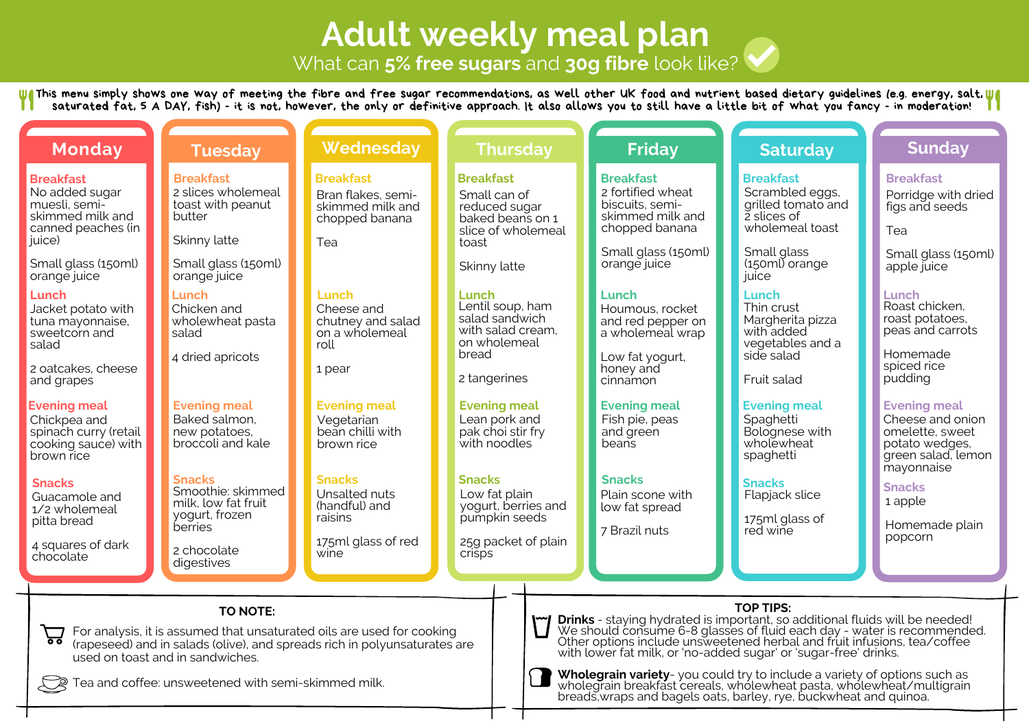# **Adult weekly meal plan**

What can **5% free sugars** and **30g fibre** look like?

This menu simply shows one way of meeting the fibre and free sugar recommendations, as well other UK food and nutrient based dietary guidelines (e.g. energy, salt, saturated fat, 5 A DAY, fish) - it is not, however, the only or definitive approach. It also allows you to still have a little bit of what you fancy - in moderation!

| <b>Monday</b>                                                                                                                                                                                                                                                              | <b>Tuesday</b>                                                                         | <b>Wednesday</b>                                                                                                                                    | <b>Thursday</b>                                                                                      |                                                                                                                                                                                                                                                                                                                                    | <b>Friday</b>                                                                                  | <b>Saturday</b>                                                                             | <b>Sunday</b>                                                                                                    |  |  |
|----------------------------------------------------------------------------------------------------------------------------------------------------------------------------------------------------------------------------------------------------------------------------|----------------------------------------------------------------------------------------|-----------------------------------------------------------------------------------------------------------------------------------------------------|------------------------------------------------------------------------------------------------------|------------------------------------------------------------------------------------------------------------------------------------------------------------------------------------------------------------------------------------------------------------------------------------------------------------------------------------|------------------------------------------------------------------------------------------------|---------------------------------------------------------------------------------------------|------------------------------------------------------------------------------------------------------------------|--|--|
| <b>Breakfast</b><br>No added sugar<br>muesli, semi-<br>skimmed milk and<br>canned peaches (in<br>juice)                                                                                                                                                                    | <b>Breakfast</b><br>2 slices wholemeal<br>toast with peanut<br>butter<br>Skinny latte  | <b>Breakfast</b><br>Bran flakes, semi-<br>skimmed milk and<br>chopped banana<br>Tea                                                                 | <b>Breakfast</b><br>Small can of<br>reduced sugar<br>baked beans on 1<br>slice of wholemeal<br>toast |                                                                                                                                                                                                                                                                                                                                    | <b>Breakfast</b><br>2 fortified wheat<br>biscuits, semi-<br>skimmed milk and<br>chopped banana | <b>Breakfast</b><br>Scrambled eggs,<br>grilled tomato and<br>2 slices of<br>wholemeal toast | <b>Breakfast</b><br>Porridge with dried<br>figs and seeds<br>Tea                                                 |  |  |
| Small glass (150ml)<br>orange juice                                                                                                                                                                                                                                        | Small glass (150ml)<br>orange juice                                                    |                                                                                                                                                     | Skinny latte                                                                                         |                                                                                                                                                                                                                                                                                                                                    | Small glass (150ml)<br>orange juice                                                            | Small glass<br>$(150m)$ orange<br>juice                                                     | Small glass (150ml)<br>apple juice                                                                               |  |  |
| Lunch<br>Jacket potato with<br>tuna mayonnaise,<br>sweetcorn and<br>salad                                                                                                                                                                                                  | Lunch<br>Chicken and<br>wholewheat pasta<br>salad                                      | Lunch<br>Cheese and<br>chutney and salad<br>on a wholemeal<br>roll                                                                                  | Lunch<br>Lentil soup, ham<br>salad sandwich<br>with salad cream,<br>on wholemeal                     |                                                                                                                                                                                                                                                                                                                                    | <b>Lunch</b><br>Houmous, rocket<br>and red pepper on<br>a wholemeal wrap                       | Lunch<br>Thin crust<br>Margherita pizza<br>with added<br>vegetables and a                   | Lunch<br>Roast chicken.<br>roast potatoes,<br>peas and carrots                                                   |  |  |
| 2 oatcakes, cheese<br>and grapes                                                                                                                                                                                                                                           | 4 dried apricots                                                                       | 1 pear                                                                                                                                              | bread<br>2 tangerines                                                                                |                                                                                                                                                                                                                                                                                                                                    | Low fat yogurt,<br>honey and<br>cinnamon                                                       | side salad<br>Fruit salad                                                                   | Homemade<br>spiced rice<br>pudding                                                                               |  |  |
| <b>Evening meal</b><br>Chickpea and<br>spinach curry (retail<br>cooking sauce) with<br>brown rice                                                                                                                                                                          | <b>Evening meal</b><br>Baked salmon,<br>new potatoes.<br>broccoli and kale             | <b>Evening meal</b><br>Vegetarian<br>bean chilli with<br>brown rice                                                                                 | <b>Evening meal</b><br>Lean pork and<br>pak choi stir fry<br>with noodles                            |                                                                                                                                                                                                                                                                                                                                    | <b>Evening meal</b><br>Fish pie, peas<br>and green<br>beans                                    | <b>Evening meal</b><br>Spaghetti<br>Bolognese with<br>wholewheat<br>spaghetti               | <b>Evening meal</b><br>Cheese and onion<br>omelette, sweet<br>potato wedges,<br>green salad, lemon<br>mayonnaise |  |  |
| <b>Snacks</b><br>Guacamole and<br>1/2 wholemeal<br>pitta bread                                                                                                                                                                                                             | <b>Snacks</b><br>Smoothie: skimmed<br>milk, low fat fruit<br>yogurt, frozen<br>berries | <b>Snacks</b><br>Unsalted nuts<br>(handful) and<br>raisins                                                                                          | <b>Snacks</b><br>Low fat plain<br>yogurt, berries and<br>pumpkin seeds                               |                                                                                                                                                                                                                                                                                                                                    | <b>Snacks</b><br>Plain scone with<br>low fat spread<br>7 Brazil nuts                           | <b>Snacks</b><br>Flapjack slice<br>175ml glass of<br>red wine                               | <b>Snacks</b><br>1 apple<br>Homemade plain                                                                       |  |  |
| 4 squares of dark<br>chocolate                                                                                                                                                                                                                                             | 2 chocolate<br>digestives                                                              | 175ml glass of red<br>wine                                                                                                                          | 25g packet of plain<br>crisps                                                                        |                                                                                                                                                                                                                                                                                                                                    |                                                                                                |                                                                                             | popcorn                                                                                                          |  |  |
|                                                                                                                                                                                                                                                                            |                                                                                        |                                                                                                                                                     |                                                                                                      |                                                                                                                                                                                                                                                                                                                                    |                                                                                                |                                                                                             |                                                                                                                  |  |  |
| 吕                                                                                                                                                                                                                                                                          | TO NOTE:<br>used on toast and in sandwiches.                                           | For analysis, it is assumed that unsaturated oils are used for cooking<br>(rapeseed) and in salads (olive), and spreads rich in polyunsaturates are |                                                                                                      | <b>TOP TIPS:</b><br><b>Drinks</b> - staying hydrated is important, so additional fluids will be needed!<br>We should consume 6-8 glasses of fluid each day - water is recommended.<br>Other options include unsweetened herbal and fruit infusions, tea/coffee<br>with lower fat milk, or 'no-added sugar' or 'sugar-free' drinks. |                                                                                                |                                                                                             |                                                                                                                  |  |  |
| Wholegrain variety-you could try to include a variety of options such as wholegrain breakfast cereals, wholewheat pasta, wholewheat/multigrain<br>Tea and coffee: unsweetened with semi-skimmed milk.<br>breads, wraps and bagels oats, barley, rye, buckwheat and quinoa. |                                                                                        |                                                                                                                                                     |                                                                                                      |                                                                                                                                                                                                                                                                                                                                    |                                                                                                |                                                                                             |                                                                                                                  |  |  |